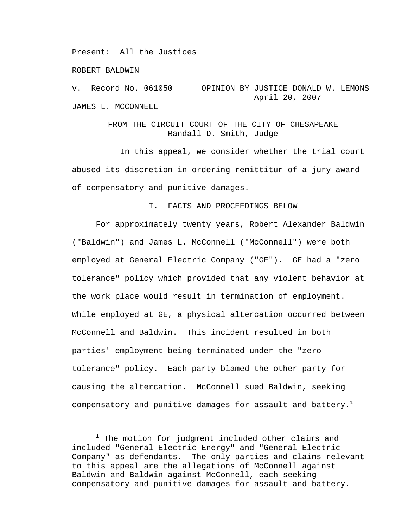Present: All the Justices

ROBERT BALDWIN

v. Record No. 061050 OPINION BY JUSTICE DONALD W. LEMONS April 20, 2007 JAMES L. MCCONNELL

# FROM THE CIRCUIT COURT OF THE CITY OF CHESAPEAKE Randall D. Smith, Judge

 In this appeal, we consider whether the trial court abused its discretion in ordering remittitur of a jury award of compensatory and punitive damages.

## I. FACTS AND PROCEEDINGS BELOW

 For approximately twenty years, Robert Alexander Baldwin ("Baldwin") and James L. McConnell ("McConnell") were both employed at General Electric Company ("GE"). GE had a "zero tolerance" policy which provided that any violent behavior at the work place would result in termination of employment. While employed at GE, a physical altercation occurred between McConnell and Baldwin. This incident resulted in both parties' employment being terminated under the "zero tolerance" policy. Each party blamed the other party for causing the altercation. McConnell sued Baldwin, seeking compensatory and punitive damages for assault and battery. $^{\mathrm{1}}$ 

 $\overline{\phantom{a}}$  $1$  The motion for judgment included other claims and included "General Electric Energy" and "General Electric Company" as defendants. The only parties and claims relevant to this appeal are the allegations of McConnell against Baldwin and Baldwin against McConnell, each seeking compensatory and punitive damages for assault and battery.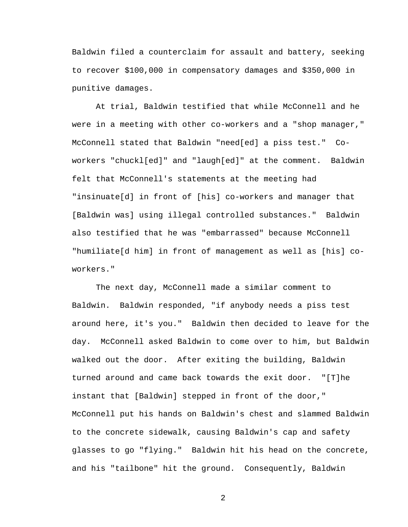Baldwin filed a counterclaim for assault and battery, seeking to recover \$100,000 in compensatory damages and \$350,000 in punitive damages.

 At trial, Baldwin testified that while McConnell and he were in a meeting with other co-workers and a "shop manager," McConnell stated that Baldwin "need[ed] a piss test." Coworkers "chuckl[ed]" and "laugh[ed]" at the comment. Baldwin felt that McConnell's statements at the meeting had "insinuate[d] in front of [his] co-workers and manager that [Baldwin was] using illegal controlled substances." Baldwin also testified that he was "embarrassed" because McConnell "humiliate[d him] in front of management as well as [his] coworkers."

 The next day, McConnell made a similar comment to Baldwin. Baldwin responded, "if anybody needs a piss test around here, it's you." Baldwin then decided to leave for the day. McConnell asked Baldwin to come over to him, but Baldwin walked out the door. After exiting the building, Baldwin turned around and came back towards the exit door. "[T]he instant that [Baldwin] stepped in front of the door," McConnell put his hands on Baldwin's chest and slammed Baldwin to the concrete sidewalk, causing Baldwin's cap and safety glasses to go "flying." Baldwin hit his head on the concrete, and his "tailbone" hit the ground. Consequently, Baldwin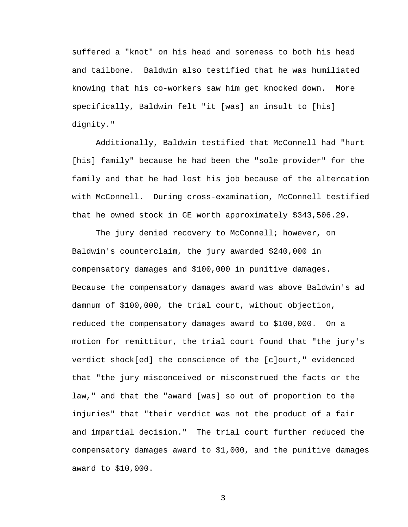suffered a "knot" on his head and soreness to both his head and tailbone. Baldwin also testified that he was humiliated knowing that his co-workers saw him get knocked down. More specifically, Baldwin felt "it [was] an insult to [his] dignity."

 Additionally, Baldwin testified that McConnell had "hurt [his] family" because he had been the "sole provider" for the family and that he had lost his job because of the altercation with McConnell. During cross-examination, McConnell testified that he owned stock in GE worth approximately \$343,506.29.

The jury denied recovery to McConnell; however, on Baldwin's counterclaim, the jury awarded \$240,000 in compensatory damages and \$100,000 in punitive damages. Because the compensatory damages award was above Baldwin's ad damnum of \$100,000, the trial court, without objection, reduced the compensatory damages award to \$100,000. On a motion for remittitur, the trial court found that "the jury's verdict shock[ed] the conscience of the [c]ourt," evidenced that "the jury misconceived or misconstrued the facts or the law," and that the "award [was] so out of proportion to the injuries" that "their verdict was not the product of a fair and impartial decision." The trial court further reduced the compensatory damages award to \$1,000, and the punitive damages award to \$10,000.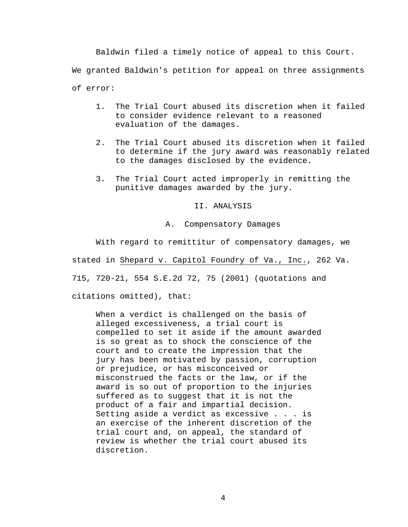Baldwin filed a timely notice of appeal to this Court. We granted Baldwin's petition for appeal on three assignments of error:

- 1. The Trial Court abused its discretion when it failed to consider evidence relevant to a reasoned evaluation of the damages.
- 2. The Trial Court abused its discretion when it failed to determine if the jury award was reasonably related to the damages disclosed by the evidence.
- 3. The Trial Court acted improperly in remitting the punitive damages awarded by the jury.

II. ANALYSIS

A. Compensatory Damages

With regard to remittitur of compensatory damages, we

stated in Shepard v. Capitol Foundry of Va., Inc., 262 Va.

715, 720-21, 554 S.E.2d 72, 75 (2001) (quotations and

citations omitted), that:

When a verdict is challenged on the basis of alleged excessiveness, a trial court is compelled to set it aside if the amount awarded is so great as to shock the conscience of the court and to create the impression that the jury has been motivated by passion, corruption or prejudice, or has misconceived or misconstrued the facts or the law, or if the award is so out of proportion to the injuries suffered as to suggest that it is not the product of a fair and impartial decision. Setting aside a verdict as excessive . . . is an exercise of the inherent discretion of the trial court and, on appeal, the standard of review is whether the trial court abused its discretion.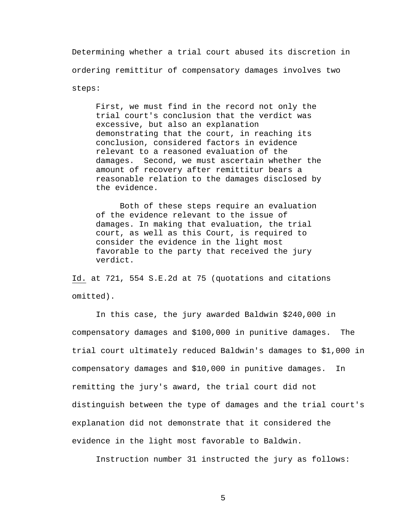Determining whether a trial court abused its discretion in ordering remittitur of compensatory damages involves two steps:

First, we must find in the record not only the trial court's conclusion that the verdict was excessive, but also an explanation demonstrating that the court, in reaching its conclusion, considered factors in evidence relevant to a reasoned evaluation of the damages. Second, we must ascertain whether the amount of recovery after remittitur bears a reasonable relation to the damages disclosed by the evidence.

Both of these steps require an evaluation of the evidence relevant to the issue of damages. In making that evaluation, the trial court, as well as this Court, is required to consider the evidence in the light most favorable to the party that received the jury verdict.

Id. at 721, 554 S.E.2d at 75 (quotations and citations omitted).

 In this case, the jury awarded Baldwin \$240,000 in compensatory damages and \$100,000 in punitive damages. The trial court ultimately reduced Baldwin's damages to \$1,000 in compensatory damages and \$10,000 in punitive damages. In remitting the jury's award, the trial court did not distinguish between the type of damages and the trial court's explanation did not demonstrate that it considered the evidence in the light most favorable to Baldwin.

Instruction number 31 instructed the jury as follows: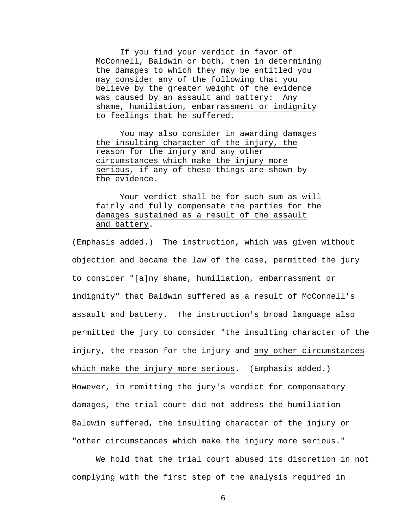If you find your verdict in favor of McConnell, Baldwin or both, then in determining the damages to which they may be entitled you may consider any of the following that you believe by the greater weight of the evidence was caused by an assault and battery: Any shame, humiliation, embarrassment or indignity to feelings that he suffered.

You may also consider in awarding damages the insulting character of the injury, the reason for the injury and any other circumstances which make the injury more serious, if any of these things are shown by the evidence.

Your verdict shall be for such sum as will fairly and fully compensate the parties for the damages sustained as a result of the assault and battery.

(Emphasis added.) The instruction, which was given without objection and became the law of the case, permitted the jury to consider "[a]ny shame, humiliation, embarrassment or indignity" that Baldwin suffered as a result of McConnell's assault and battery. The instruction's broad language also permitted the jury to consider "the insulting character of the injury, the reason for the injury and any other circumstances which make the injury more serious. (Emphasis added.) However, in remitting the jury's verdict for compensatory damages, the trial court did not address the humiliation Baldwin suffered, the insulting character of the injury or "other circumstances which make the injury more serious."

 We hold that the trial court abused its discretion in not complying with the first step of the analysis required in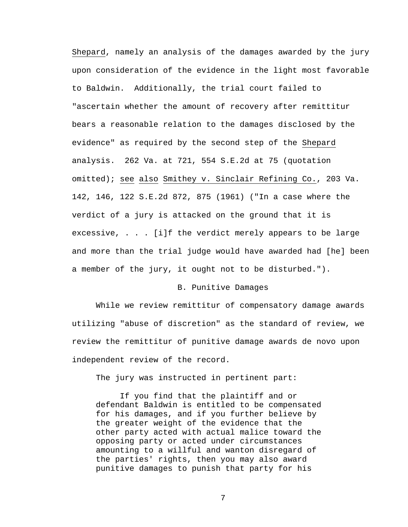Shepard, namely an analysis of the damages awarded by the jury upon consideration of the evidence in the light most favorable to Baldwin. Additionally, the trial court failed to "ascertain whether the amount of recovery after remittitur bears a reasonable relation to the damages disclosed by the evidence" as required by the second step of the Shepard analysis. 262 Va. at 721, 554 S.E.2d at 75 (quotation omitted); see also Smithey v. Sinclair Refining Co., 203 Va. 142, 146, 122 S.E.2d 872, 875 (1961) ("In a case where the verdict of a jury is attacked on the ground that it is excessive, . . . [i]f the verdict merely appears to be large and more than the trial judge would have awarded had [he] been a member of the jury, it ought not to be disturbed.").

## B. Punitive Damages

 While we review remittitur of compensatory damage awards utilizing "abuse of discretion" as the standard of review, we review the remittitur of punitive damage awards de novo upon independent review of the record.

The jury was instructed in pertinent part:

 If you find that the plaintiff and or defendant Baldwin is entitled to be compensated for his damages, and if you further believe by the greater weight of the evidence that the other party acted with actual malice toward the opposing party or acted under circumstances amounting to a willful and wanton disregard of the parties' rights, then you may also award punitive damages to punish that party for his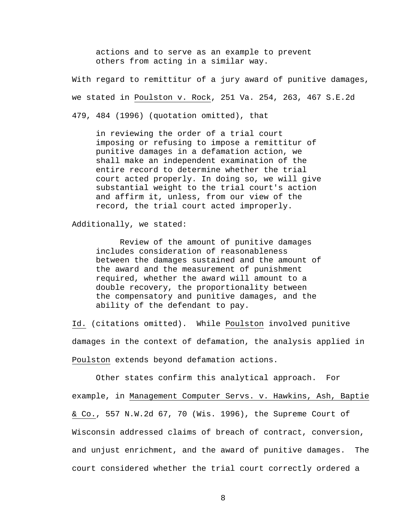actions and to serve as an example to prevent others from acting in a similar way.

With regard to remittitur of a jury award of punitive damages, we stated in Poulston v. Rock, 251 Va. 254, 263, 467 S.E.2d 479, 484 (1996) (quotation omitted), that

in reviewing the order of a trial court imposing or refusing to impose a remittitur of punitive damages in a defamation action, we shall make an independent examination of the entire record to determine whether the trial court acted properly. In doing so, we will give substantial weight to the trial court's action and affirm it, unless, from our view of the record, the trial court acted improperly.

Additionally, we stated:

 Review of the amount of punitive damages includes consideration of reasonableness between the damages sustained and the amount of the award and the measurement of punishment required, whether the award will amount to a double recovery, the proportionality between the compensatory and punitive damages, and the ability of the defendant to pay.

Id. (citations omitted). While Poulston involved punitive damages in the context of defamation, the analysis applied in Poulston extends beyond defamation actions.

 Other states confirm this analytical approach. For example, in Management Computer Servs. v. Hawkins, Ash, Baptie & Co., 557 N.W.2d 67, 70 (Wis. 1996), the Supreme Court of Wisconsin addressed claims of breach of contract, conversion, and unjust enrichment, and the award of punitive damages. The court considered whether the trial court correctly ordered a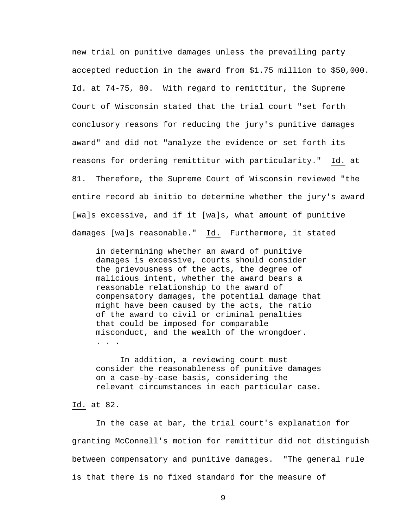new trial on punitive damages unless the prevailing party accepted reduction in the award from \$1.75 million to \$50,000. Id. at 74-75, 80. With regard to remittitur, the Supreme Court of Wisconsin stated that the trial court "set forth conclusory reasons for reducing the jury's punitive damages award" and did not "analyze the evidence or set forth its reasons for ordering remittitur with particularity." Id. at 81. Therefore, the Supreme Court of Wisconsin reviewed "the entire record ab initio to determine whether the jury's award [wa]s excessive, and if it [wa]s, what amount of punitive damages [wa]s reasonable." Id. Furthermore, it stated

in determining whether an award of punitive damages is excessive, courts should consider the grievousness of the acts, the degree of malicious intent, whether the award bears a reasonable relationship to the award of compensatory damages, the potential damage that might have been caused by the acts, the ratio of the award to civil or criminal penalties that could be imposed for comparable misconduct, and the wealth of the wrongdoer. . . .

 In addition, a reviewing court must consider the reasonableness of punitive damages on a case-by-case basis, considering the relevant circumstances in each particular case.

#### Id. at 82.

 In the case at bar, the trial court's explanation for granting McConnell's motion for remittitur did not distinguish between compensatory and punitive damages. "The general rule is that there is no fixed standard for the measure of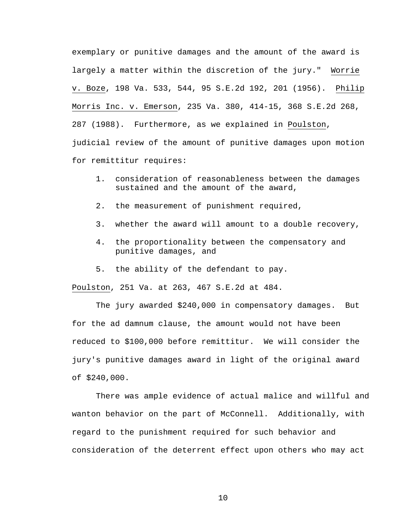exemplary or punitive damages and the amount of the award is largely a matter within the discretion of the jury." Worrie v. Boze, 198 Va. 533, 544, 95 S.E.2d 192, 201 (1956). Philip Morris Inc. v. Emerson, 235 Va. 380, 414-15, 368 S.E.2d 268, 287 (1988). Furthermore, as we explained in Poulston, judicial review of the amount of punitive damages upon motion for remittitur requires:

- 1. consideration of reasonableness between the damages sustained and the amount of the award,
- 2. the measurement of punishment required,
- 3. whether the award will amount to a double recovery,
- 4. the proportionality between the compensatory and punitive damages, and
- 5. the ability of the defendant to pay.

Poulston, 251 Va. at 263, 467 S.E.2d at 484.

 The jury awarded \$240,000 in compensatory damages. But for the ad damnum clause, the amount would not have been reduced to \$100,000 before remittitur. We will consider the jury's punitive damages award in light of the original award of \$240,000.

There was ample evidence of actual malice and willful and wanton behavior on the part of McConnell. Additionally, with regard to the punishment required for such behavior and consideration of the deterrent effect upon others who may act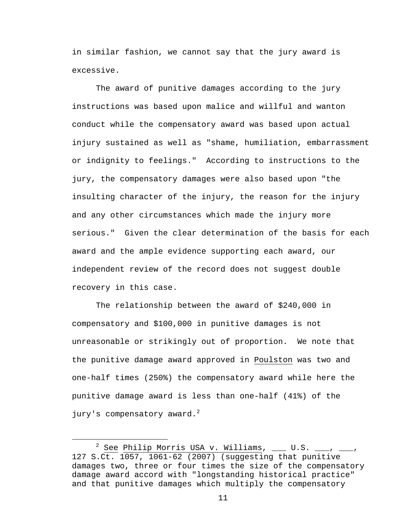in similar fashion, we cannot say that the jury award is excessive.

The award of punitive damages according to the jury instructions was based upon malice and willful and wanton conduct while the compensatory award was based upon actual injury sustained as well as "shame, humiliation, embarrassment or indignity to feelings." According to instructions to the jury, the compensatory damages were also based upon "the insulting character of the injury, the reason for the injury and any other circumstances which made the injury more serious." Given the clear determination of the basis for each award and the ample evidence supporting each award, our independent review of the record does not suggest double recovery in this case.

The relationship between the award of \$240,000 in compensatory and \$100,000 in punitive damages is not unreasonable or strikingly out of proportion. We note that the punitive damage award approved in Poulston was two and one-half times (250%) the compensatory award while here the punitive damage award is less than one-half (41%) of the jury's compensatory award. $2$ 

 <sup>2</sup>  $^2$  See Philip Morris USA v. Williams, \_\_\_ U.S. \_\_\_, \_\_\_, 127 S.Ct. 1057, 1061-62 (2007) (suggesting that punitive damages two, three or four times the size of the compensatory damage award accord with "longstanding historical practice" and that punitive damages which multiply the compensatory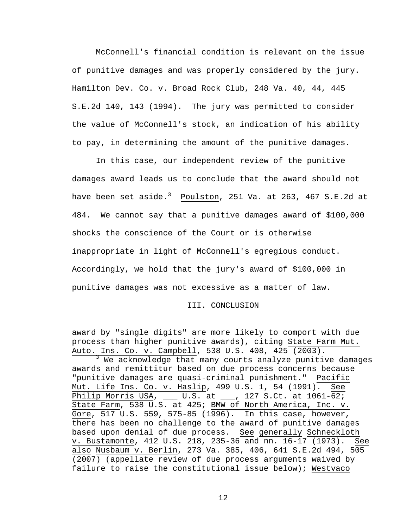McConnell's financial condition is relevant on the issue of punitive damages and was properly considered by the jury. Hamilton Dev. Co. v. Broad Rock Club, 248 Va. 40, 44, 445 S.E.2d 140, 143 (1994). The jury was permitted to consider the value of McConnell's stock, an indication of his ability to pay, in determining the amount of the punitive damages.

In this case, our independent review of the punitive damages award leads us to conclude that the award should not have been set aside. $^3$  Poulston, 251 Va. at 263, 467 S.E.2d at 484. We cannot say that a punitive damages award of \$100,000 shocks the conscience of the Court or is otherwise inappropriate in light of McConnell's egregious conduct. Accordingly, we hold that the jury's award of \$100,000 in punitive damages was not excessive as a matter of law.

III. CONCLUSION

award by "single digits" are more likely to comport with due process than higher punitive awards), citing State Farm Mut. Auto. Ins. Co. v. Campbell, 538 U.S. 408, 425 (2003).

i<br>Li

<sup>3</sup> We acknowledge that many courts analyze punitive damages awards and remittitur based on due process concerns because "punitive damages are quasi-criminal punishment." Pacific Mut. Life Ins. Co. v. Haslip, 499 U.S. 1, 54 (1991). See Philip Morris USA, \_\_\_ U.S. at \_\_\_, 127 S.Ct. at  $1061-\overline{627}$ State Farm, 538 U.S. at 425; BMW of North America, Inc. v. Gore, 517 U.S. 559, 575-85 (1996). In this case, however, there has been no challenge to the award of punitive damages based upon denial of due process. See generally Schneckloth v. Bustamonte, 412 U.S. 218, 235-36 and nn. 16-17 (1973). See also Nusbaum v. Berlin, 273 Va. 385, 406, 641 S.E.2d 494, 505 (2007) (appellate review of due process arguments waived by failure to raise the constitutional issue below); Westvaco